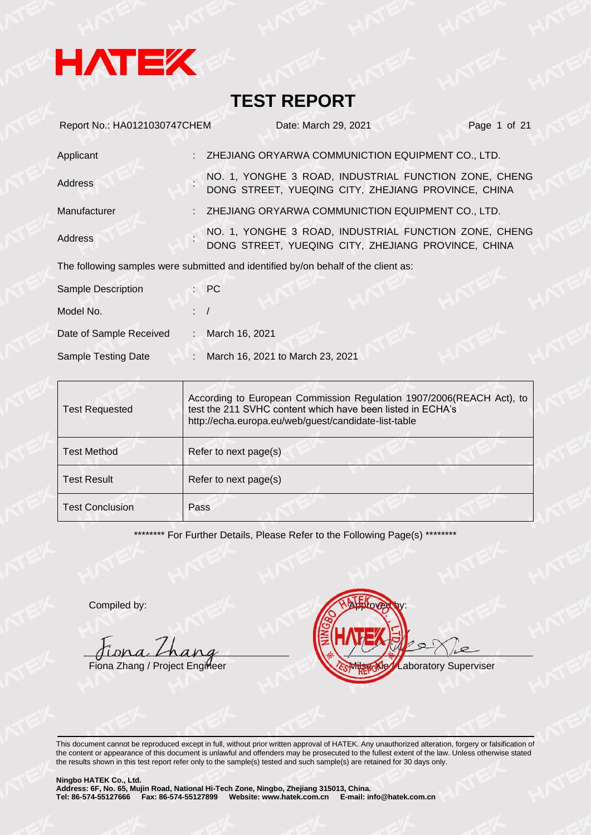

| Report No.: HA0121030747CHEM |    | Date: March 29, 2021                                                                                         | Page 1 of 21 |
|------------------------------|----|--------------------------------------------------------------------------------------------------------------|--------------|
| Applicant                    |    | ZHEJIANG ORYARWA COMMUNICTION EQUIPMENT CO., LTD.                                                            |              |
| Address                      |    | NO. 1, YONGHE 3 ROAD, INDUSTRIAL FUNCTION ZONE, CHENG<br>DONG STREET, YUEQING CITY, ZHEJIANG PROVINCE, CHINA |              |
| Manufacturer                 |    | ZHEJIANG ORYARWA COMMUNICTION EQUIPMENT CO., LTD.                                                            |              |
| Address                      |    | NO. 1, YONGHE 3 ROAD, INDUSTRIAL FUNCTION ZONE, CHENG<br>DONG STREET, YUEQING CITY, ZHEJIANG PROVINCE, CHINA |              |
|                              |    | The following samples were submitted and identified by/on behalf of the client as:                           |              |
| <b>Sample Description</b>    |    | $\mathsf{P} \mathsf{C}$                                                                                      |              |
| Model No.                    |    |                                                                                                              |              |
| Date of Sample Received      | ÷. | March 16, 2021                                                                                               |              |
| Sample Testing Date          | ÷. | March 16, 2021 to March 23, 2021                                                                             |              |

| <b>Test Requested</b>  | According to European Commission Regulation 1907/2006(REACH Act), to<br>test the 211 SVHC content which have been listed in ECHA's<br>http://echa.europa.eu/web/guest/candidate-list-table |  |  |
|------------------------|--------------------------------------------------------------------------------------------------------------------------------------------------------------------------------------------|--|--|
| <b>Test Method</b>     | Refer to next page(s)                                                                                                                                                                      |  |  |
| <b>Test Result</b>     | Refer to next page(s)                                                                                                                                                                      |  |  |
| <b>Test Conclusion</b> | Pass                                                                                                                                                                                       |  |  |

\*\*\*\*\*\*\*\*\* For Further Details, Please Refer to the Following Page(s) \*\*\*\*\*\*\*\*

Compiled by:

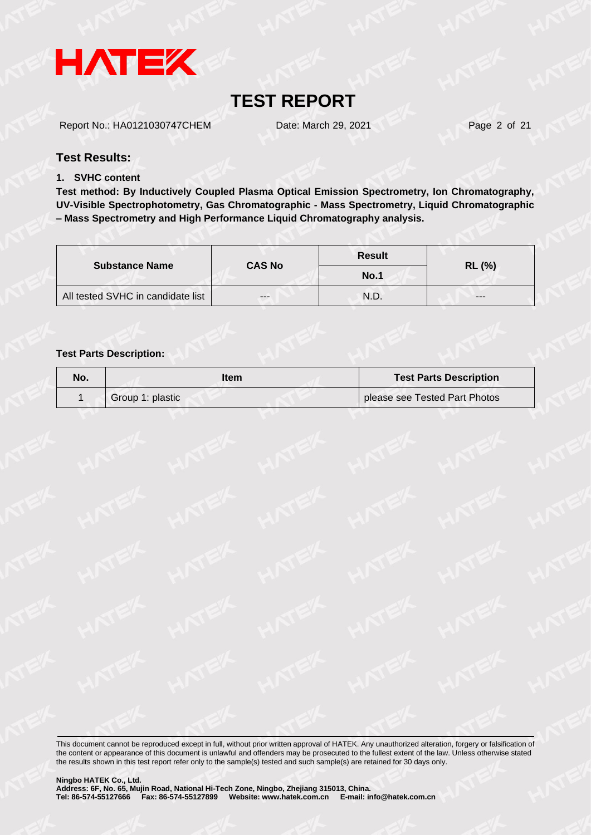

Report No.: HA0121030747CHEM Date: March 29, 2021 Page 2 of 21

#### **Test Results:**

#### **1. SVHC content**

**Test method: By Inductively Coupled Plasma Optical Emission Spectrometry, Ion Chromatography, UV-Visible Spectrophotometry, Gas Chromatographic - Mass Spectrometry, Liquid Chromatographic – Mass Spectrometry and High Performance Liquid Chromatography analysis.**

|                                   | <b>CAS No</b> | <b>Result</b> |               |  |
|-----------------------------------|---------------|---------------|---------------|--|
| <b>Substance Name</b>             |               | No.1          | <b>RL (%)</b> |  |
| All tested SVHC in candidate list | $- - -$       | N.D.          | ---           |  |

#### **Test Parts Description:**

| No. | ltem             | <b>Test Parts Description</b> |
|-----|------------------|-------------------------------|
|     | Group 1: plastic | please see Tested Part Photos |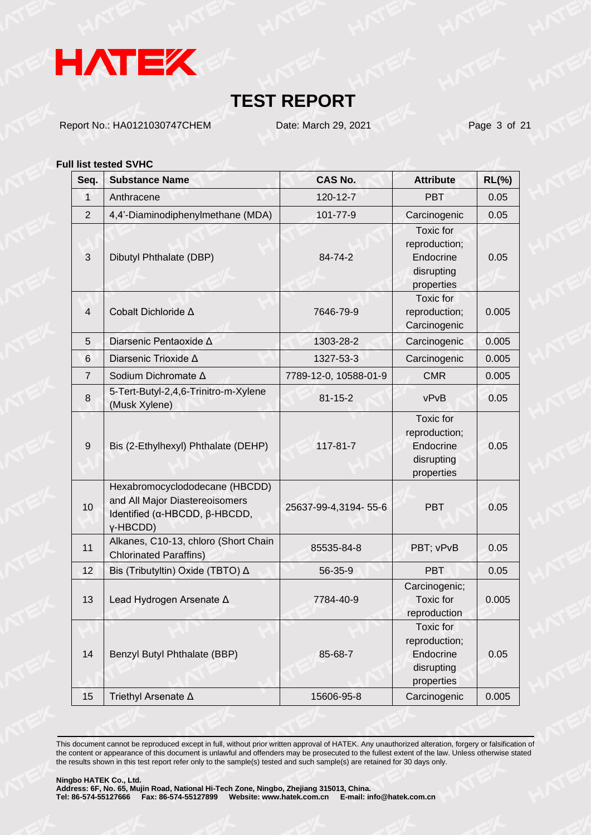

Report No.: HA0121030747CHEM Date: March 29, 2021 Page 3 of 21

#### **Full list tested SVHC**

| Seq.           | <b>Substance Name</b>                                                                                         | <b>CAS No.</b>        | <b>Attribute</b>                                                           | $RL(\%)$ |
|----------------|---------------------------------------------------------------------------------------------------------------|-----------------------|----------------------------------------------------------------------------|----------|
| 1              | Anthracene                                                                                                    | 120-12-7              | <b>PBT</b>                                                                 | 0.05     |
| $\overline{2}$ | 4,4'-Diaminodiphenylmethane (MDA)                                                                             | 101-77-9              | Carcinogenic                                                               | 0.05     |
| $\mathbf{3}$   | Dibutyl Phthalate (DBP)                                                                                       | 84-74-2               | Toxic for<br>reproduction;<br>Endocrine<br>disrupting<br>properties        | 0.05     |
| $\overline{4}$ | Cobalt Dichloride ∆                                                                                           | 7646-79-9             | Toxic for<br>reproduction;<br>Carcinogenic                                 | 0.005    |
| 5              | Diarsenic Pentaoxide A                                                                                        | 1303-28-2             | Carcinogenic                                                               | 0.005    |
| 6              | Diarsenic Trioxide A                                                                                          | 1327-53-3             | Carcinogenic                                                               | 0.005    |
| $\overline{7}$ | Sodium Dichromate ∆                                                                                           | 7789-12-0, 10588-01-9 | <b>CMR</b>                                                                 | 0.005    |
| 8              | 5-Tert-Butyl-2,4,6-Trinitro-m-Xylene<br>(Musk Xylene)                                                         | $81 - 15 - 2$         | vPvB                                                                       | 0.05     |
| 9              | Bis (2-Ethylhexyl) Phthalate (DEHP)                                                                           | 117-81-7              | <b>Toxic</b> for<br>reproduction;<br>Endocrine<br>disrupting<br>properties | 0.05     |
| 10             | Hexabromocyclododecane (HBCDD)<br>and All Major Diastereoisomers<br>Identified (α-HBCDD, β-HBCDD,<br>y-HBCDD) | 25637-99-4,3194-55-6  | <b>PBT</b>                                                                 | 0.05     |
| 11             | Alkanes, C10-13, chloro (Short Chain<br><b>Chlorinated Paraffins)</b>                                         | 85535-84-8            | PBT; vPvB                                                                  | 0.05     |
| 12             | Bis (Tributyltin) Oxide (TBTO) ∆                                                                              | 56-35-9               | PBT                                                                        | 0.05     |
| 13             | Lead Hydrogen Arsenate A                                                                                      | 7784-40-9             | Carcinogenic;<br>Toxic for<br>reproduction                                 | 0.005    |
| 14             | Benzyl Butyl Phthalate (BBP)                                                                                  | 85-68-7               | Toxic for<br>reproduction;<br>Endocrine<br>disrupting<br>properties        | 0.05     |
| 15             | Triethyl Arsenate ∆                                                                                           | 15606-95-8            | Carcinogenic                                                               | 0.005    |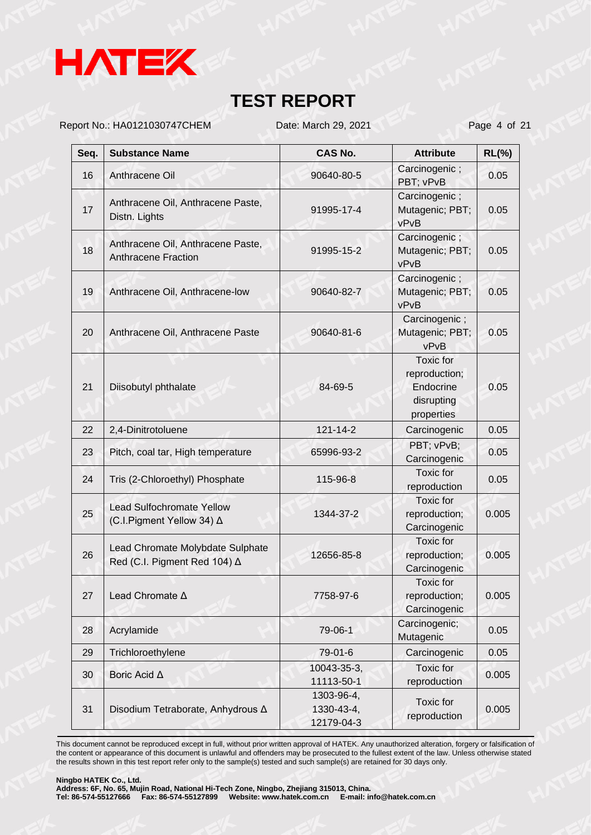

Report No.: HA0121030747CHEM Date: March 29, 2021 Page 4 of 21

| Seq. | <b>Substance Name</b>                                            | <b>CAS No.</b>                         | <b>Attribute</b>                                                           | $RL(\%)$ |
|------|------------------------------------------------------------------|----------------------------------------|----------------------------------------------------------------------------|----------|
| 16   | Anthracene Oil                                                   | 90640-80-5                             | Carcinogenic;<br>PBT; vPvB                                                 | 0.05     |
| 17   | Anthracene Oil, Anthracene Paste,<br>Distn. Lights               | 91995-17-4                             | Carcinogenic;<br>Mutagenic; PBT;<br>vPvB                                   | 0.05     |
| 18   | Anthracene Oil, Anthracene Paste,<br><b>Anthracene Fraction</b>  | 91995-15-2                             | Carcinogenic;<br>Mutagenic; PBT;<br>vPvB                                   | 0.05     |
| 19   | Anthracene Oil, Anthracene-low                                   | 90640-82-7                             | Carcinogenic;<br>Mutagenic; PBT;<br>vPvB                                   | 0.05     |
| 20   | Anthracene Oil, Anthracene Paste                                 | 90640-81-6                             | Carcinogenic;<br>Mutagenic; PBT;<br>vPvB                                   | 0.05     |
| 21   | Diisobutyl phthalate                                             | 84-69-5                                | <b>Toxic</b> for<br>reproduction;<br>Endocrine<br>disrupting<br>properties | 0.05     |
| 22   | 2,4-Dinitrotoluene                                               | 121-14-2                               | Carcinogenic                                                               | 0.05     |
| 23   | Pitch, coal tar, High temperature                                | 65996-93-2                             | PBT; vPvB;<br>Carcinogenic                                                 | 0.05     |
| 24   | Tris (2-Chloroethyl) Phosphate                                   | 115-96-8                               | <b>Toxic</b> for<br>reproduction                                           | 0.05     |
| 25   | <b>Lead Sulfochromate Yellow</b><br>(C.I.Pigment Yellow 34) ∆    | 1344-37-2                              | Toxic for<br>reproduction;<br>Carcinogenic                                 | 0.005    |
| 26   | Lead Chromate Molybdate Sulphate<br>Red (C.I. Pigment Red 104) △ | 12656-85-8                             | Toxic for<br>reproduction;<br>Carcinogenic                                 | 0.005    |
| 27   | Lead Chromate A                                                  | 7758-97-6                              | Toxic for<br>reproduction;<br>Carcinogenic                                 | 0.005    |
| 28   | Acrylamide                                                       | 79-06-1                                | Carcinogenic;<br>Mutagenic                                                 | 0.05     |
| 29   | Trichloroethylene                                                | 79-01-6                                | Carcinogenic                                                               | 0.05     |
| 30   | Boric Acid ∆                                                     | 10043-35-3,<br>11113-50-1              | Toxic for<br>reproduction                                                  | 0.005    |
| 31   | Disodium Tetraborate, Anhydrous ∆                                | 1303-96-4,<br>1330-43-4,<br>12179-04-3 | Toxic for<br>reproduction                                                  | 0.005    |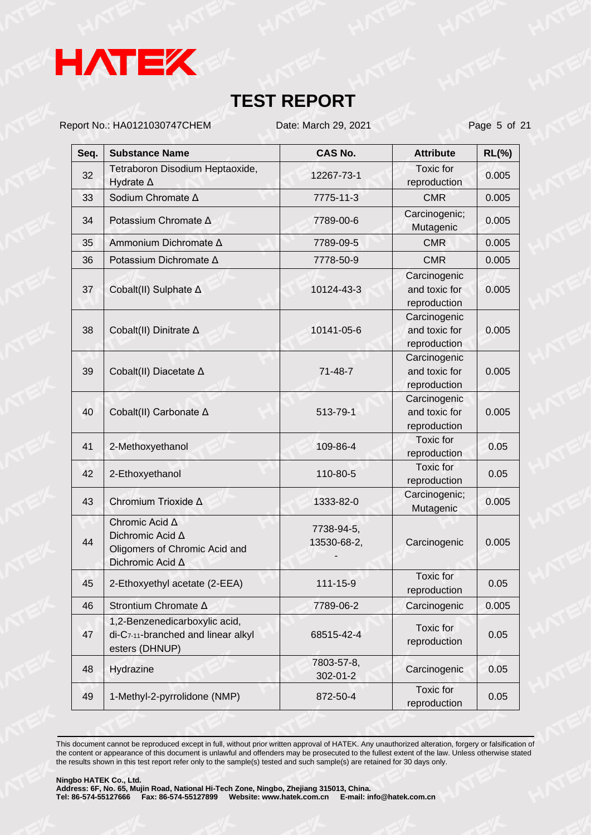

Report No.: HA0121030747CHEM Date: March 29, 2021 Page 5 of 21

| Seq. | <b>Substance Name</b>                                                                   | <b>CAS No.</b>            | <b>Attribute</b>                              | $RL(\%)$ |
|------|-----------------------------------------------------------------------------------------|---------------------------|-----------------------------------------------|----------|
| 32   | Tetraboron Disodium Heptaoxide,<br>Hydrate ∆                                            | 12267-73-1                | Toxic for<br>reproduction                     | 0.005    |
| 33   | Sodium Chromate ∆                                                                       | 7775-11-3                 | <b>CMR</b>                                    | 0.005    |
| 34   | Potassium Chromate ∆                                                                    | 7789-00-6                 | Carcinogenic;<br>Mutagenic                    | 0.005    |
| 35   | Ammonium Dichromate A                                                                   | 7789-09-5                 | <b>CMR</b>                                    | 0.005    |
| 36   | Potassium Dichromate ∆                                                                  | 7778-50-9                 | <b>CMR</b>                                    | 0.005    |
| 37   | Cobalt(II) Sulphate ∆                                                                   | 10124-43-3                | Carcinogenic<br>and toxic for<br>reproduction | 0.005    |
| 38   | Cobalt(II) Dinitrate ∆                                                                  | 10141-05-6                | Carcinogenic<br>and toxic for<br>reproduction | 0.005    |
| 39   | Cobalt(II) Diacetate ∆                                                                  | $71 - 48 - 7$             | Carcinogenic<br>and toxic for<br>reproduction | 0.005    |
| 40   | Cobalt(II) Carbonate ∆                                                                  | 513-79-1                  | Carcinogenic<br>and toxic for<br>reproduction | 0.005    |
| 41   | 2-Methoxyethanol                                                                        | 109-86-4                  | Toxic for<br>reproduction                     | 0.05     |
| 42   | 2-Ethoxyethanol                                                                         | 110-80-5                  | <b>Toxic</b> for<br>reproduction              | 0.05     |
| 43   | Chromium Trioxide ∆                                                                     | 1333-82-0                 | Carcinogenic;<br>Mutagenic                    | 0.005    |
| 44   | Chromic Acid A<br>Dichromic Acid A<br>Oligomers of Chromic Acid and<br>Dichromic Acid A | 7738-94-5,<br>13530-68-2, | Carcinogenic                                  | 0.005    |
| 45   | 2-Ethoxyethyl acetate (2-EEA)                                                           | 111-15-9                  | Toxic for<br>reproduction                     | 0.05     |
| 46   | Strontium Chromate A                                                                    | 7789-06-2                 | Carcinogenic                                  | 0.005    |
| 47   | 1,2-Benzenedicarboxylic acid,<br>di-C7-11-branched and linear alkyl<br>esters (DHNUP)   | 68515-42-4                | Toxic for<br>reproduction                     | 0.05     |
| 48   | Hydrazine                                                                               | 7803-57-8,<br>302-01-2    | Carcinogenic                                  | 0.05     |
| 49   | 1-Methyl-2-pyrrolidone (NMP)                                                            | 872-50-4                  | <b>Toxic</b> for<br>reproduction              | 0.05     |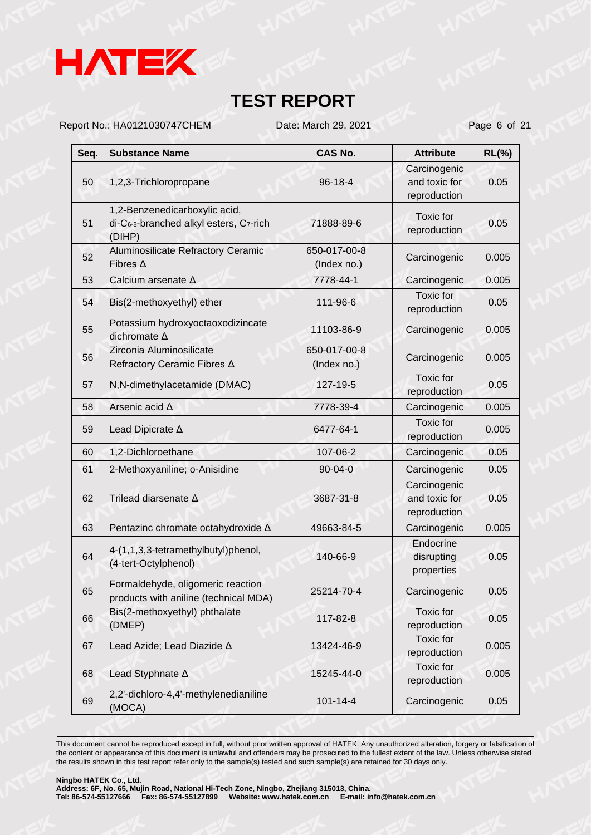

Report No.: HA0121030747CHEM Date: March 29, 2021 Page 6 of 21

| Seq. | <b>Substance Name</b>                                                             | <b>CAS No.</b>              | <b>Attribute</b>                              | $RL(\%)$ |
|------|-----------------------------------------------------------------------------------|-----------------------------|-----------------------------------------------|----------|
| 50   | 1,2,3-Trichloropropane                                                            | 96-18-4                     | Carcinogenic<br>and toxic for<br>reproduction | 0.05     |
| 51   | 1,2-Benzenedicarboxylic acid,<br>di-C6-8-branched alkyl esters, C7-rich<br>(DIHP) | 71888-89-6                  | Toxic for<br>reproduction                     | 0.05     |
| 52   | Aluminosilicate Refractory Ceramic<br>Fibres $\Delta$                             | 650-017-00-8<br>(Index no.) | Carcinogenic                                  | 0.005    |
| 53   | Calcium arsenate ∆                                                                | 7778-44-1                   | Carcinogenic                                  | 0.005    |
| 54   | Bis(2-methoxyethyl) ether                                                         | 111-96-6                    | Toxic for<br>reproduction                     | 0.05     |
| 55   | Potassium hydroxyoctaoxodizincate<br>dichromate A                                 | 11103-86-9                  | Carcinogenic                                  | 0.005    |
| 56   | Zirconia Aluminosilicate<br>Refractory Ceramic Fibres ∆                           | 650-017-00-8<br>(Index no.) | Carcinogenic                                  | 0.005    |
| 57   | N,N-dimethylacetamide (DMAC)                                                      | 127-19-5                    | Toxic for<br>reproduction                     | 0.05     |
| 58   | Arsenic acid A                                                                    | 7778-39-4                   | Carcinogenic                                  | 0.005    |
| 59   | Lead Dipicrate A                                                                  | 6477-64-1                   | <b>Toxic</b> for<br>reproduction              | 0.005    |
| 60   | 1,2-Dichloroethane                                                                | 107-06-2                    | Carcinogenic                                  | 0.05     |
| 61   | 2-Methoxyaniline; o-Anisidine                                                     | 90-04-0                     | Carcinogenic                                  | 0.05     |
| 62   | Trilead diarsenate A                                                              | 3687-31-8                   | Carcinogenic<br>and toxic for<br>reproduction | 0.05     |
| 63   | Pentazinc chromate octahydroxide A                                                | 49663-84-5                  | Carcinogenic                                  | 0.005    |
| 64   | 4-(1,1,3,3-tetramethylbutyl)phenol,<br>(4-tert-Octylphenol)                       | 140-66-9                    | Endocrine<br>disrupting<br>properties         | 0.05     |
| 65   | Formaldehyde, oligomeric reaction<br>products with aniline (technical MDA)        | 25214-70-4                  | Carcinogenic                                  | 0.05     |
| 66   | Bis(2-methoxyethyl) phthalate<br>(DMEP)                                           | 117-82-8                    | Toxic for<br>reproduction                     | 0.05     |
| 67   | Lead Azide; Lead Diazide A                                                        | 13424-46-9                  | Toxic for<br>reproduction                     | 0.005    |
| 68   | Lead Styphnate A                                                                  | 15245-44-0                  | <b>Toxic for</b><br>reproduction              | 0.005    |
| 69   | 2,2'-dichloro-4,4'-methylenedianiline<br>(MOCA)                                   | $101 - 14 - 4$              | Carcinogenic                                  | 0.05     |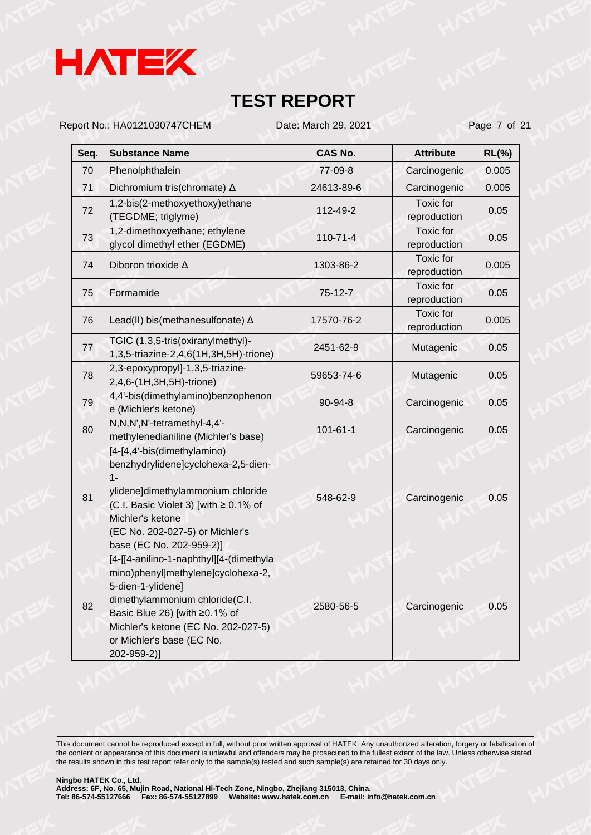

Report No.: HA0121030747CHEM Date: March 29, 2021 Page 7 of 21

| Seq. | <b>Substance Name</b>                                                                                                                                                                                                                                    | <b>CAS No.</b> | <b>Attribute</b>                 | $RL(\%)$ |
|------|----------------------------------------------------------------------------------------------------------------------------------------------------------------------------------------------------------------------------------------------------------|----------------|----------------------------------|----------|
| 70   | Phenolphthalein                                                                                                                                                                                                                                          | 77-09-8        | Carcinogenic                     | 0.005    |
| 71   | Dichromium tris(chromate) △                                                                                                                                                                                                                              | 24613-89-6     | Carcinogenic                     | 0.005    |
| 72   | 1,2-bis(2-methoxyethoxy)ethane<br>(TEGDME; triglyme)                                                                                                                                                                                                     | 112-49-2       | <b>Toxic</b> for<br>reproduction | 0.05     |
| 73   | 1,2-dimethoxyethane; ethylene<br>glycol dimethyl ether (EGDME)                                                                                                                                                                                           | $110 - 71 - 4$ | Toxic for<br>reproduction        | 0.05     |
| 74   | Diboron trioxide A                                                                                                                                                                                                                                       | 1303-86-2      | <b>Toxic</b> for<br>reproduction | 0.005    |
| 75   | Formamide                                                                                                                                                                                                                                                | $75 - 12 - 7$  | <b>Toxic</b> for<br>reproduction | 0.05     |
| 76   | Lead(II) bis(methanesulfonate) $\Delta$                                                                                                                                                                                                                  | 17570-76-2     | <b>Toxic</b> for<br>reproduction | 0.005    |
| 77   | TGIC (1,3,5-tris(oxiranylmethyl)-<br>1,3,5-triazine-2,4,6(1H,3H,5H)-trione)                                                                                                                                                                              | 2451-62-9      | Mutagenic                        | 0.05     |
| 78   | 2,3-epoxypropyl]-1,3,5-triazine-<br>2,4,6-(1H,3H,5H)-trione)                                                                                                                                                                                             | 59653-74-6     | Mutagenic                        | 0.05     |
| 79   | 4,4'-bis(dimethylamino)benzophenon<br>e (Michler's ketone)                                                                                                                                                                                               | 90-94-8        | Carcinogenic                     | 0.05     |
| 80   | N, N, N', N'-tetramethyl-4, 4'-<br>methylenedianiline (Michler's base)                                                                                                                                                                                   | $101 - 61 - 1$ | Carcinogenic                     | 0.05     |
| 81   | [4-[4,4'-bis(dimethylamino)<br>benzhydrylidene]cyclohexa-2,5-dien-<br>$1 -$<br>ylidene]dimethylammonium chloride<br>(C.I. Basic Violet 3) [with ≥ 0.1% of<br>Michler's ketone<br>(EC No. 202-027-5) or Michler's<br>base (EC No. 202-959-2)]             | 548-62-9       | Carcinogenic                     | 0.05     |
| 82   | [4-[[4-anilino-1-naphthyl][4-(dimethyla<br>mino)phenyl]methylene]cyclohexa-2,<br>5-dien-1-ylidene]<br>dimethylammonium chloride(C.I.<br>Basic Blue 26) [with ≥0.1% of<br>Michler's ketone (EC No. 202-027-5)<br>or Michler's base (EC No.<br>202-959-2)] | 2580-56-5      | Carcinogenic                     | 0.05     |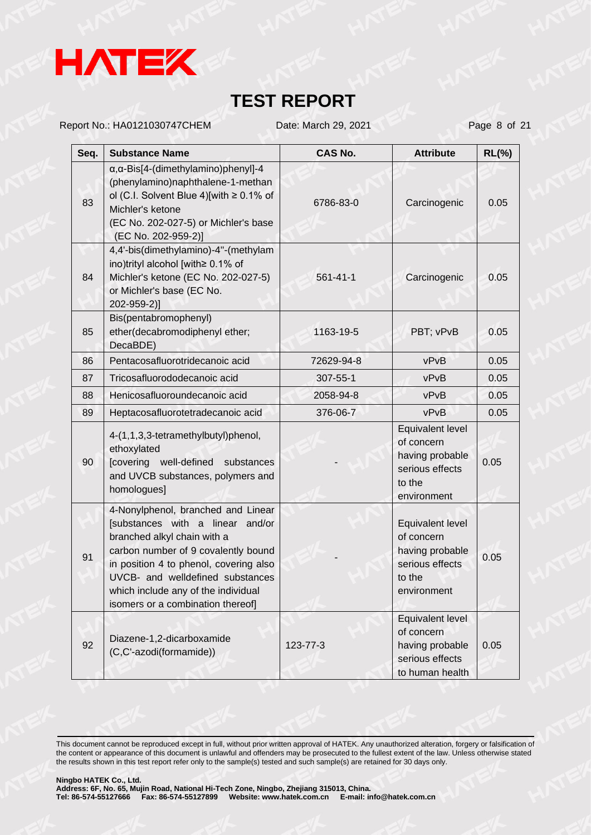

Report No.: HA0121030747CHEM Date: March 29, 2021 Page 8 of 21

| Seq. | <b>Substance Name</b>                                                                                                                                                                                                                                                                                  | <b>CAS No.</b> | <b>Attribute</b>                                                                              | $RL(\%)$ |
|------|--------------------------------------------------------------------------------------------------------------------------------------------------------------------------------------------------------------------------------------------------------------------------------------------------------|----------------|-----------------------------------------------------------------------------------------------|----------|
| 83   | $\alpha$ , $\alpha$ -Bis[4-(dimethylamino)phenyl]-4<br>(phenylamino)naphthalene-1-methan<br>ol (C.I. Solvent Blue 4)[with $\geq$ 0.1% of<br>Michler's ketone<br>(EC No. 202-027-5) or Michler's base<br>(EC No. 202-959-2)]                                                                            | 6786-83-0      | Carcinogenic                                                                                  | 0.05     |
| 84   | 4,4'-bis(dimethylamino)-4"-(methylam<br>ino)trityl alcohol [with≥ 0.1% of<br>Michler's ketone (EC No. 202-027-5)<br>or Michler's base (EC No.<br>202-959-2)]                                                                                                                                           | 561-41-1       | Carcinogenic                                                                                  | 0.05     |
| 85   | Bis(pentabromophenyl)<br>ether(decabromodiphenyl ether;<br>DecaBDE)                                                                                                                                                                                                                                    | 1163-19-5      | PBT; vPvB                                                                                     | 0.05     |
| 86   | Pentacosafluorotridecanoic acid                                                                                                                                                                                                                                                                        | 72629-94-8     | vPvB                                                                                          | 0.05     |
| 87   | Tricosafluorododecanoic acid                                                                                                                                                                                                                                                                           | 307-55-1       | vPvB                                                                                          | 0.05     |
| 88   | Henicosafluoroundecanoic acid                                                                                                                                                                                                                                                                          | 2058-94-8      | vPvB                                                                                          | 0.05     |
| 89   | Heptacosafluorotetradecanoic acid                                                                                                                                                                                                                                                                      | 376-06-7       | vPvB                                                                                          | 0.05     |
| 90   | 4-(1,1,3,3-tetramethylbutyl)phenol,<br>ethoxylated<br>[covering well-defined<br>substances<br>and UVCB substances, polymers and<br>homologues]                                                                                                                                                         |                | Equivalent level<br>of concern<br>having probable<br>serious effects<br>to the<br>environment | 0.05     |
| 91   | 4-Nonylphenol, branched and Linear<br>[substances with a linear and/or<br>branched alkyl chain with a<br>carbon number of 9 covalently bound<br>in position 4 to phenol, covering also<br>UVCB- and welldefined substances<br>which include any of the individual<br>isomers or a combination thereof] |                | Equivalent level<br>of concern<br>having probable<br>serious effects<br>to the<br>environment | 0.05     |
| 92   | Diazene-1,2-dicarboxamide<br>(C,C'-azodi(formamide))                                                                                                                                                                                                                                                   | 123-77-3       | Equivalent level<br>of concern<br>having probable<br>serious effects<br>to human health       | 0.05     |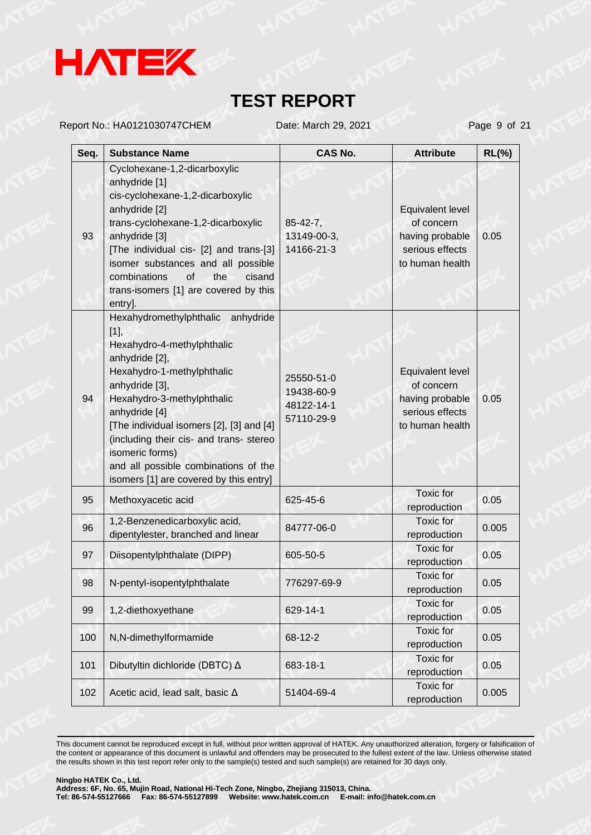

Report No.: HA0121030747CHEM Date: March 29, 2021 Page 9 of 21

| Seq. | <b>Substance Name</b>                                                                                                                                                                                                                                                                                                                                                                   | <b>CAS No.</b>                                       | <b>Attribute</b>                                                                        | $RL(\%)$ |
|------|-----------------------------------------------------------------------------------------------------------------------------------------------------------------------------------------------------------------------------------------------------------------------------------------------------------------------------------------------------------------------------------------|------------------------------------------------------|-----------------------------------------------------------------------------------------|----------|
| 93   | Cyclohexane-1,2-dicarboxylic<br>anhydride [1]<br>cis-cyclohexane-1,2-dicarboxylic<br>anhydride [2]<br>trans-cyclohexane-1,2-dicarboxylic<br>anhydride [3]<br>[The individual cis- [2] and trans-[3]<br>isomer substances and all possible<br>combinations<br>of<br>the<br>cisand<br>trans-isomers [1] are covered by this<br>entry].                                                    | $85 - 42 - 7$ ,<br>13149-00-3,<br>14166-21-3         | Equivalent level<br>of concern<br>having probable<br>serious effects<br>to human health | 0.05     |
| 94   | Hexahydromethylphthalic anhydride<br>$[1]$ ,<br>Hexahydro-4-methylphthalic<br>anhydride [2],<br>Hexahydro-1-methylphthalic<br>anhydride [3],<br>Hexahydro-3-methylphthalic<br>anhydride [4]<br>[The individual isomers [2], [3] and [4]<br>(including their cis- and trans- stereo<br>isomeric forms)<br>and all possible combinations of the<br>isomers [1] are covered by this entry] | 25550-51-0<br>19438-60-9<br>48122-14-1<br>57110-29-9 | Equivalent level<br>of concern<br>having probable<br>serious effects<br>to human health | 0.05     |
| 95   | Methoxyacetic acid                                                                                                                                                                                                                                                                                                                                                                      | 625-45-6                                             | Toxic for<br>reproduction                                                               | 0.05     |
| 96   | 1,2-Benzenedicarboxylic acid,<br>dipentylester, branched and linear                                                                                                                                                                                                                                                                                                                     | 84777-06-0                                           | Toxic for<br>reproduction                                                               | 0.005    |
| 97   | Diisopentylphthalate (DIPP)                                                                                                                                                                                                                                                                                                                                                             | 605-50-5                                             | Toxic for<br>reproduction                                                               | 0.05     |
| 98   | N-pentyl-isopentylphthalate                                                                                                                                                                                                                                                                                                                                                             | 776297-69-9                                          | Toxic for<br>reproduction                                                               | 0.05     |
| 99   | 1,2-diethoxyethane                                                                                                                                                                                                                                                                                                                                                                      | 629-14-1                                             | Toxic for<br>reproduction                                                               | 0.05     |
| 100  | N,N-dimethylformamide                                                                                                                                                                                                                                                                                                                                                                   | 68-12-2                                              | Toxic for<br>reproduction                                                               | 0.05     |
| 101  | Dibutyltin dichloride (DBTC) △                                                                                                                                                                                                                                                                                                                                                          | 683-18-1                                             | Toxic for<br>reproduction                                                               | 0.05     |
| 102  | Acetic acid, lead salt, basic $\Delta$                                                                                                                                                                                                                                                                                                                                                  | 51404-69-4                                           | Toxic for<br>reproduction                                                               | 0.005    |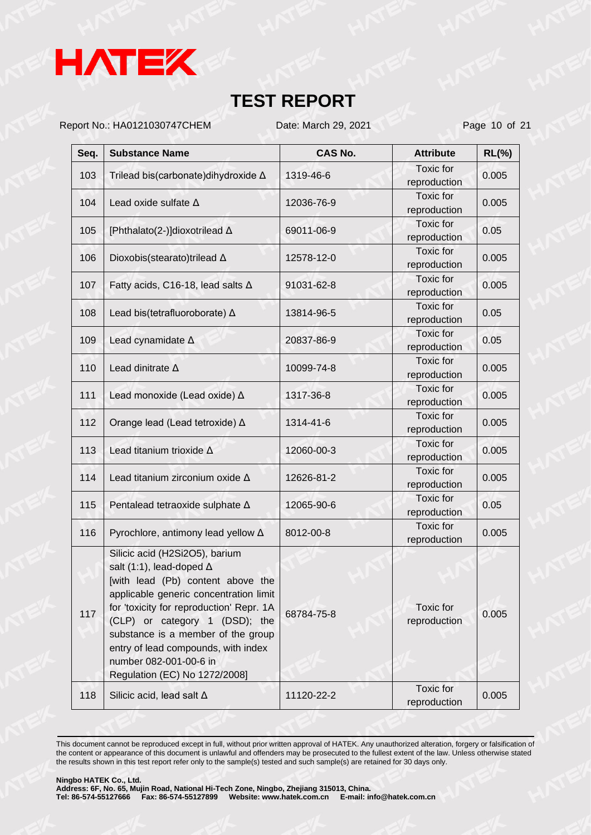

Report No.: HA0121030747CHEM Date: March 29, 2021 Page 10 of 21

| Seq. | <b>Substance Name</b>                                                                                                                                                                                                                                                                                                                                                  | <b>CAS No.</b> | <b>Attribute</b>                 | $RL(\% )$ |
|------|------------------------------------------------------------------------------------------------------------------------------------------------------------------------------------------------------------------------------------------------------------------------------------------------------------------------------------------------------------------------|----------------|----------------------------------|-----------|
| 103  | Trilead bis(carbonate) dihy droxide A                                                                                                                                                                                                                                                                                                                                  | 1319-46-6      | Toxic for<br>reproduction        | 0.005     |
| 104  | Lead oxide sulfate $\Delta$                                                                                                                                                                                                                                                                                                                                            | 12036-76-9     | <b>Toxic</b> for<br>reproduction | 0.005     |
| 105  | [Phthalato(2-)]dioxotrilead ∆                                                                                                                                                                                                                                                                                                                                          | 69011-06-9     | Toxic for<br>reproduction        | 0.05      |
| 106  | Dioxobis(stearato)trilead A                                                                                                                                                                                                                                                                                                                                            | 12578-12-0     | <b>Toxic</b> for<br>reproduction | 0.005     |
| 107  | Fatty acids, C16-18, lead salts $\Delta$                                                                                                                                                                                                                                                                                                                               | 91031-62-8     | <b>Toxic</b> for<br>reproduction | 0.005     |
| 108  | Lead bis(tetrafluoroborate) $\Delta$                                                                                                                                                                                                                                                                                                                                   | 13814-96-5     | <b>Toxic</b> for<br>reproduction | 0.05      |
| 109  | Lead cynamidate A                                                                                                                                                                                                                                                                                                                                                      | 20837-86-9     | Toxic for<br>reproduction        | 0.05      |
| 110  | Lead dinitrate $\Delta$                                                                                                                                                                                                                                                                                                                                                | 10099-74-8     | <b>Toxic</b> for<br>reproduction | 0.005     |
| 111  | Lead monoxide (Lead oxide) $\Delta$                                                                                                                                                                                                                                                                                                                                    | 1317-36-8      | Toxic for<br>reproduction        | 0.005     |
| 112  | Orange lead (Lead tetroxide) ∆                                                                                                                                                                                                                                                                                                                                         | 1314-41-6      | <b>Toxic</b> for<br>reproduction | 0.005     |
| 113  | Lead titanium trioxide $\Delta$                                                                                                                                                                                                                                                                                                                                        | 12060-00-3     | Toxic for<br>reproduction        | 0.005     |
| 114  | Lead titanium zirconium oxide $\Delta$                                                                                                                                                                                                                                                                                                                                 | 12626-81-2     | <b>Toxic</b> for<br>reproduction | 0.005     |
| 115  | Pentalead tetraoxide sulphate A                                                                                                                                                                                                                                                                                                                                        | 12065-90-6     | Toxic for<br>reproduction        | 0.05      |
| 116  | Pyrochlore, antimony lead yellow $\Delta$                                                                                                                                                                                                                                                                                                                              | 8012-00-8      | <b>Toxic</b> for<br>reproduction | 0.005     |
| 117  | Silicic acid (H2Si2O5), barium<br>salt (1:1), lead-doped $\Delta$<br>[with lead (Pb) content above the<br>applicable generic concentration limit<br>for 'toxicity for reproduction' Repr. 1A<br>(CLP) or category 1 (DSD); the<br>substance is a member of the group<br>entry of lead compounds, with index<br>number 082-001-00-6 in<br>Regulation (EC) No 1272/2008] | 68784-75-8     | Toxic for<br>reproduction        | 0.005     |
| 118  | Silicic acid, lead salt $\Delta$                                                                                                                                                                                                                                                                                                                                       | 11120-22-2     | Toxic for<br>reproduction        | 0.005     |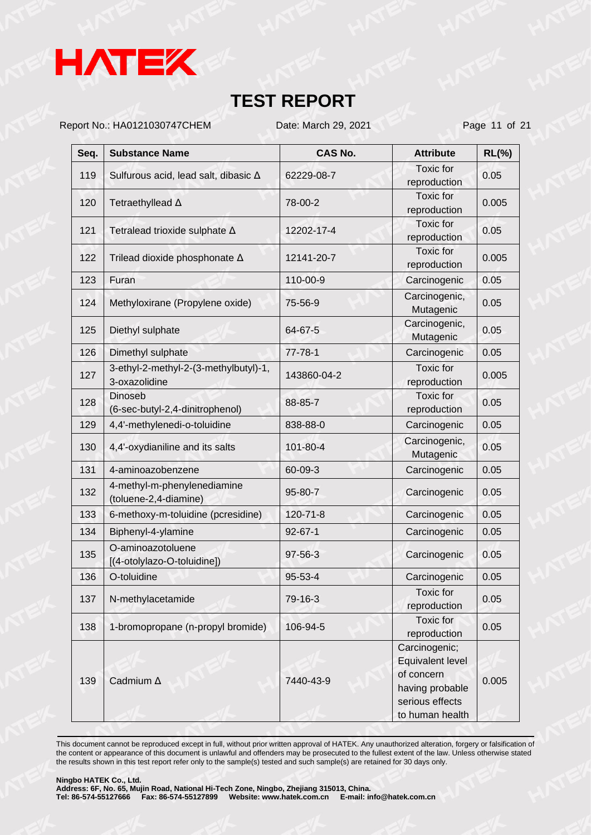

Report No.: HA0121030747CHEM Date: March 29, 2021 Page 11 of 21

| Seq. | <b>Substance Name</b>                                  | <b>CAS No.</b> | <b>Attribute</b>                                 | $RL(\%)$ |
|------|--------------------------------------------------------|----------------|--------------------------------------------------|----------|
| 119  | Sulfurous acid, lead salt, dibasic ∆                   | 62229-08-7     | <b>Toxic</b> for<br>reproduction                 | 0.05     |
| 120  | Tetraethyllead A                                       | 78-00-2        | <b>Toxic</b> for<br>reproduction                 | 0.005    |
| 121  | Tetralead trioxide sulphate $\Delta$                   | 12202-17-4     | Toxic for<br>reproduction                        | 0.05     |
| 122  | Trilead dioxide phosphonate A                          | 12141-20-7     | <b>Toxic</b> for<br>reproduction                 | 0.005    |
| 123  | Furan                                                  | 110-00-9       | Carcinogenic                                     | 0.05     |
| 124  | Methyloxirane (Propylene oxide)                        | 75-56-9        | Carcinogenic,<br>Mutagenic                       | 0.05     |
| 125  | Diethyl sulphate                                       | 64-67-5        | Carcinogenic,<br>Mutagenic                       | 0.05     |
| 126  | Dimethyl sulphate                                      | $77 - 78 - 1$  | Carcinogenic                                     | 0.05     |
| 127  | 3-ethyl-2-methyl-2-(3-methylbutyl)-1,<br>3-oxazolidine | 143860-04-2    | <b>Toxic</b> for<br>reproduction                 | 0.005    |
| 128  | <b>Dinoseb</b><br>(6-sec-butyl-2,4-dinitrophenol)      | 88-85-7        | <b>Toxic</b> for<br>reproduction                 | 0.05     |
| 129  | 4,4'-methylenedi-o-toluidine                           | 838-88-0       | Carcinogenic                                     | 0.05     |
| 130  | 4,4'-oxydianiline and its salts                        | 101-80-4       | Carcinogenic,<br>Mutagenic                       | 0.05     |
| 131  | 4-aminoazobenzene                                      | 60-09-3        | Carcinogenic                                     | 0.05     |
| 132  | 4-methyl-m-phenylenediamine<br>(toluene-2,4-diamine)   | 95-80-7        | Carcinogenic                                     | 0.05     |
| 133  | 6-methoxy-m-toluidine (pcresidine)                     | $120 - 71 - 8$ | Carcinogenic                                     | 0.05     |
| 134  | Biphenyl-4-ylamine                                     | $92 - 67 - 1$  | Carcinogenic                                     | 0.05     |
| 135  | O-aminoazotoluene<br>[(4-otolylazo-O-toluidine])       | 97-56-3        | Carcinogenic                                     | 0.05     |
| 136  | O-toluidine                                            | 95-53-4        | Carcinogenic                                     | 0.05     |
| 137  | N-methylacetamide                                      | 79-16-3        | Toxic for<br>reproduction                        | 0.05     |
| 138  | 1-bromopropane (n-propyl bromide)                      | 106-94-5       | Toxic for<br>reproduction                        | 0.05     |
|      |                                                        |                | Carcinogenic;<br>Equivalent level                |          |
| 139  | Cadmium A                                              | 7440-43-9      | of concern<br>having probable<br>serious effects | 0.005    |
|      |                                                        |                | to human health                                  |          |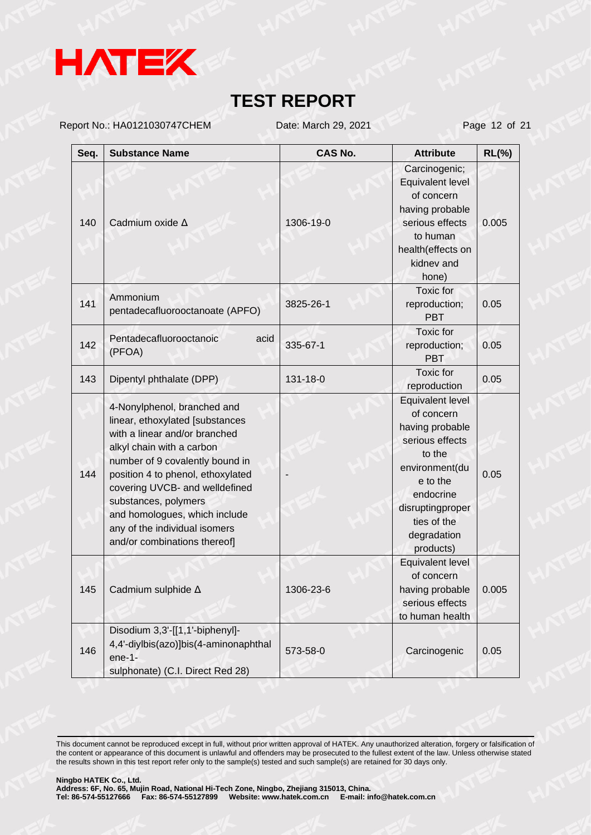

Report No.: HA0121030747CHEM Date: March 29, 2021 Page 12 of 21

| Seq. | <b>Substance Name</b>                                                                                                                                                                                                                                                                                                                                            | <b>CAS No.</b> | <b>Attribute</b>                                                                                                                                                                         | $RL(\%)$ |
|------|------------------------------------------------------------------------------------------------------------------------------------------------------------------------------------------------------------------------------------------------------------------------------------------------------------------------------------------------------------------|----------------|------------------------------------------------------------------------------------------------------------------------------------------------------------------------------------------|----------|
| 140  | Cadmium oxide A                                                                                                                                                                                                                                                                                                                                                  | 1306-19-0      | Carcinogenic;<br>Equivalent level<br>of concern<br>having probable<br>serious effects<br>to human<br>health(effects on<br>kidnev and<br>hone)                                            | 0.005    |
| 141  | Ammonium<br>pentadecafluorooctanoate (APFO)                                                                                                                                                                                                                                                                                                                      | 3825-26-1      | Toxic for<br>reproduction;<br><b>PBT</b>                                                                                                                                                 | 0.05     |
| 142  | Pentadecafluorooctanoic<br>acid<br>(PFOA)                                                                                                                                                                                                                                                                                                                        | 335-67-1       | Toxic for<br>reproduction;<br><b>PBT</b>                                                                                                                                                 | 0.05     |
| 143  | Dipentyl phthalate (DPP)                                                                                                                                                                                                                                                                                                                                         | 131-18-0       | <b>Toxic</b> for<br>reproduction                                                                                                                                                         | 0.05     |
| 144  | 4-Nonylphenol, branched and<br>linear, ethoxylated [substances<br>with a linear and/or branched<br>alkyl chain with a carbon<br>number of 9 covalently bound in<br>position 4 to phenol, ethoxylated<br>covering UVCB- and welldefined<br>substances, polymers<br>and homologues, which include<br>any of the individual isomers<br>and/or combinations thereof] |                | Equivalent level<br>of concern<br>having probable<br>serious effects<br>to the<br>environment(du<br>e to the<br>endocrine<br>disruptingproper<br>ties of the<br>degradation<br>products) | 0.05     |
| 145  | Cadmium sulphide A                                                                                                                                                                                                                                                                                                                                               | 1306-23-6      | Equivalent level<br>of concern<br>having probable<br>serious effects<br>to human health                                                                                                  | 0.005    |
| 146  | Disodium 3,3'-[[1,1'-biphenyl]-<br>4,4'-diylbis(azo)]bis(4-aminonaphthal<br>$ene-1-$<br>sulphonate) (C.I. Direct Red 28)                                                                                                                                                                                                                                         | 573-58-0       | Carcinogenic                                                                                                                                                                             | 0.05     |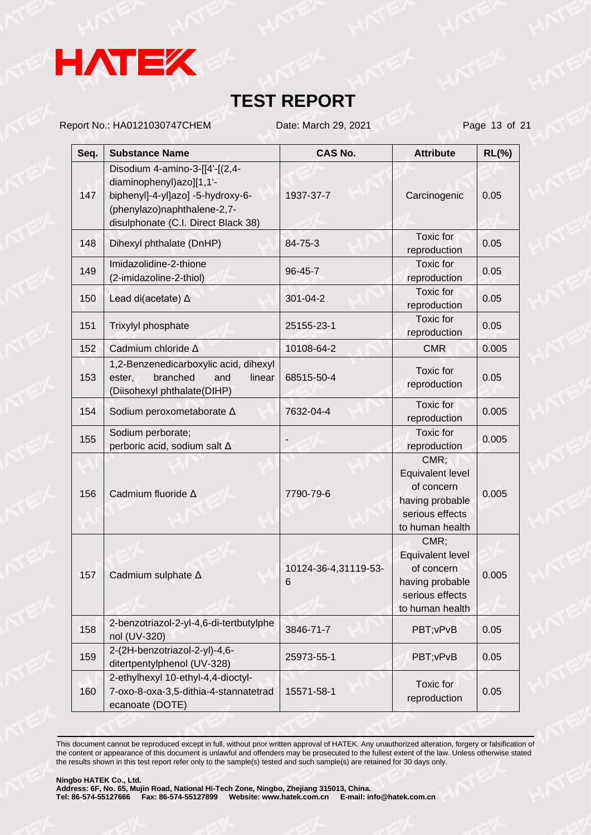

Report No.: HA0121030747CHEM Date: March 29, 2021 Page 13 of 21

| Seq. | <b>Substance Name</b>                                                                                                                                                 | <b>CAS No.</b>            | <b>Attribute</b>                                                                                | $RL(\%)$ |
|------|-----------------------------------------------------------------------------------------------------------------------------------------------------------------------|---------------------------|-------------------------------------------------------------------------------------------------|----------|
| 147  | Disodium 4-amino-3-[[4'-[(2,4-<br>diaminophenyl)azo][1,1'-<br>biphenyl]-4-yl]azo] -5-hydroxy-6-<br>(phenylazo)naphthalene-2,7-<br>disulphonate (C.I. Direct Black 38) | 1937-37-7                 | Carcinogenic                                                                                    | 0.05     |
| 148  | Dihexyl phthalate (DnHP)                                                                                                                                              | 84-75-3                   | Toxic for<br>reproduction                                                                       | 0.05     |
| 149  | Imidazolidine-2-thione<br>(2-imidazoline-2-thiol)                                                                                                                     | 96-45-7                   | Toxic for<br>reproduction                                                                       | 0.05     |
| 150  | Lead di(acetate) $\Delta$                                                                                                                                             | 301-04-2                  | Toxic for<br>reproduction                                                                       | 0.05     |
| 151  | Trixylyl phosphate                                                                                                                                                    | 25155-23-1                | Toxic for<br>reproduction                                                                       | 0.05     |
| 152  | Cadmium chloride A                                                                                                                                                    | 10108-64-2                | <b>CMR</b>                                                                                      | 0.005    |
| 153  | 1,2-Benzenedicarboxylic acid, dihexyl<br>branched<br>ester,<br>and<br>linear<br>(Diisohexyl phthalate(DIHP)                                                           | 68515-50-4                | Toxic for<br>reproduction                                                                       | 0.05     |
| 154  | Sodium peroxometaborate A                                                                                                                                             | 7632-04-4                 | Toxic for<br>reproduction                                                                       | 0.005    |
| 155  | Sodium perborate;<br>perboric acid, sodium salt A                                                                                                                     |                           | Toxic for<br>reproduction                                                                       | 0.005    |
| 156  | Cadmium fluoride A                                                                                                                                                    | 7790-79-6                 | CMR;<br>Equivalent level<br>of concern<br>having probable<br>serious effects<br>to human health | 0.005    |
| 157  | Cadmium sulphate A                                                                                                                                                    | 10124-36-4,31119-53-<br>6 | CMR;<br>Equivalent level<br>of concern<br>having probable<br>serious effects<br>to human health | 0.005    |
| 158  | 2-benzotriazol-2-yl-4,6-di-tertbutylphe<br>nol (UV-320)                                                                                                               | 3846-71-7                 | PBT; vPvB                                                                                       | 0.05     |
| 159  | 2-(2H-benzotriazol-2-yl)-4,6-<br>ditertpentylphenol (UV-328)                                                                                                          | 25973-55-1                | PBT; vPvB                                                                                       | 0.05     |
| 160  | 2-ethylhexyl 10-ethyl-4,4-dioctyl-<br>7-oxo-8-oxa-3,5-dithia-4-stannatetrad<br>ecanoate (DOTE)                                                                        | 15571-58-1                | Toxic for<br>reproduction                                                                       | 0.05     |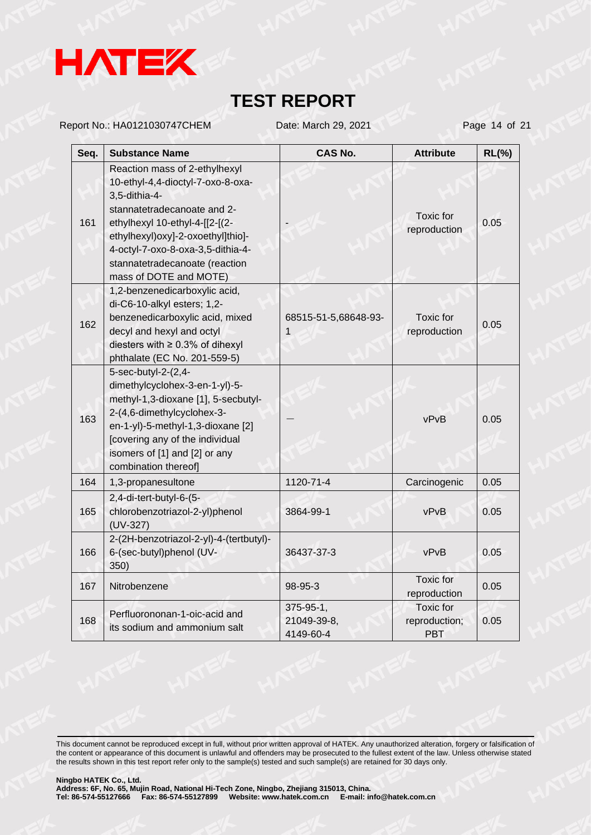

Report No.: HA0121030747CHEM Date: March 29, 2021 Page 14 of 21

| Seq. | <b>Substance Name</b>                                                                                                                                                                                                                                                                      | CAS No.                               | <b>Attribute</b>                                | $RL(\%)$ |
|------|--------------------------------------------------------------------------------------------------------------------------------------------------------------------------------------------------------------------------------------------------------------------------------------------|---------------------------------------|-------------------------------------------------|----------|
| 161  | Reaction mass of 2-ethylhexyl<br>10-ethyl-4,4-dioctyl-7-oxo-8-oxa-<br>3,5-dithia-4-<br>stannatetradecanoate and 2-<br>ethylhexyl 10-ethyl-4-[[2-[(2-<br>ethylhexyl)oxy]-2-oxoethyl]thio]-<br>4-octyl-7-oxo-8-oxa-3,5-dithia-4-<br>stannatetradecanoate (reaction<br>mass of DOTE and MOTE) |                                       | <b>Toxic</b> for<br>reproduction                | 0.05     |
| 162  | 1,2-benzenedicarboxylic acid,<br>di-C6-10-alkyl esters; 1,2-<br>benzenedicarboxylic acid, mixed<br>decyl and hexyl and octyl<br>diesters with $\geq 0.3\%$ of dihexyl<br>phthalate (EC No. 201-559-5)                                                                                      | 68515-51-5,68648-93-<br>1             | <b>Toxic</b> for<br>reproduction                | 0.05     |
| 163  | 5-sec-butyl-2-(2,4-<br>dimethylcyclohex-3-en-1-yl)-5-<br>methyl-1,3-dioxane [1], 5-secbutyl-<br>2-(4,6-dimethylcyclohex-3-<br>en-1-yl)-5-methyl-1,3-dioxane [2]<br>[covering any of the individual<br>isomers of [1] and [2] or any<br>combination thereof]                                |                                       | vPvB                                            | 0.05     |
| 164  | 1,3-propanesultone                                                                                                                                                                                                                                                                         | 1120-71-4                             | Carcinogenic                                    | 0.05     |
| 165  | 2,4-di-tert-butyl-6-(5-<br>chlorobenzotriazol-2-yl)phenol<br>$(UV-327)$                                                                                                                                                                                                                    | 3864-99-1                             | vPvB                                            | 0.05     |
| 166  | 2-(2H-benzotriazol-2-yl)-4-(tertbutyl)-<br>6-(sec-butyl)phenol (UV-<br>350)                                                                                                                                                                                                                | 36437-37-3                            | vPvB                                            | 0.05     |
| 167  | Nitrobenzene                                                                                                                                                                                                                                                                               | 98-95-3                               | <b>Toxic</b> for<br>reproduction                | 0.05     |
| 168  | Perfluorononan-1-oic-acid and<br>its sodium and ammonium salt                                                                                                                                                                                                                              | 375-95-1,<br>21049-39-8,<br>4149-60-4 | <b>Toxic</b> for<br>reproduction;<br><b>PBT</b> | 0.05     |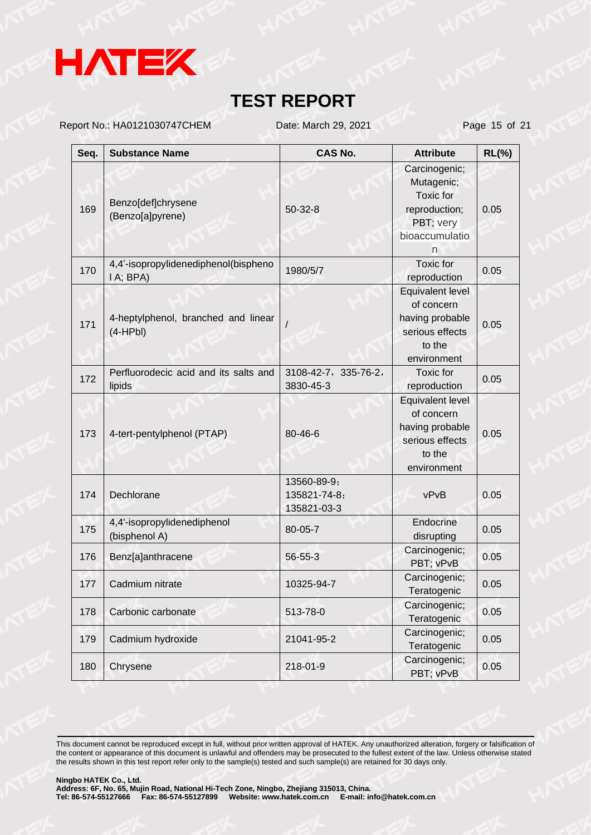

Report No.: HA0121030747CHEM Date: March 29, 2021 Page 15 of 21

| Seq. | <b>Substance Name</b>                             | <b>CAS No.</b>                             | <b>Attribute</b>                                                                                     | $RL(\%)$ |
|------|---------------------------------------------------|--------------------------------------------|------------------------------------------------------------------------------------------------------|----------|
| 169  | Benzo[def]chrysene<br>(Benzo[a]pyrene)            | $50 - 32 - 8$                              | Carcinogenic;<br>Mutagenic;<br><b>Toxic</b> for<br>reproduction;<br>PBT; very<br>bioaccumulatio<br>n | 0.05     |
| 170  | 4,4'-isopropylidenediphenol(bispheno<br>I A; BPA) | 1980/5/7                                   | <b>Toxic</b> for<br>reproduction                                                                     | 0.05     |
| 171  | 4-heptylphenol, branched and linear<br>$(4-HPbl)$ |                                            | Equivalent level<br>of concern<br>having probable<br>serious effects<br>to the<br>environment        | 0.05     |
| 172  | Perfluorodecic acid and its salts and<br>lipids   | 3108-42-7, 335-76-2,<br>3830-45-3          | Toxic for<br>reproduction                                                                            | 0.05     |
| 173  | 4-tert-pentylphenol (PTAP)                        | 80-46-6                                    | Equivalent level<br>of concern<br>having probable<br>serious effects<br>to the<br>environment        | 0.05     |
| 174  | Dechlorane                                        | 13560-89-9;<br>135821-74-8;<br>135821-03-3 | vPvB                                                                                                 | 0.05     |
| 175  | 4,4'-isopropylidenediphenol<br>(bisphenol A)      | 80-05-7                                    | Endocrine<br>disrupting                                                                              | 0.05     |
| 176  | Benz[a]anthracene                                 | 56-55-3                                    | Carcinogenic;<br>PBT; vPvB                                                                           | 0.05     |
| 177  | Cadmium nitrate                                   | 10325-94-7                                 | Carcinogenic;<br>Teratogenic                                                                         | 0.05     |
| 178  | Carbonic carbonate                                | 513-78-0                                   | Carcinogenic;<br>Teratogenic                                                                         | 0.05     |
| 179  | Cadmium hydroxide                                 | 21041-95-2                                 | Carcinogenic;<br>Teratogenic                                                                         | 0.05     |
| 180  | Chrysene                                          | 218-01-9                                   | Carcinogenic;<br>PBT; vPvB                                                                           | 0.05     |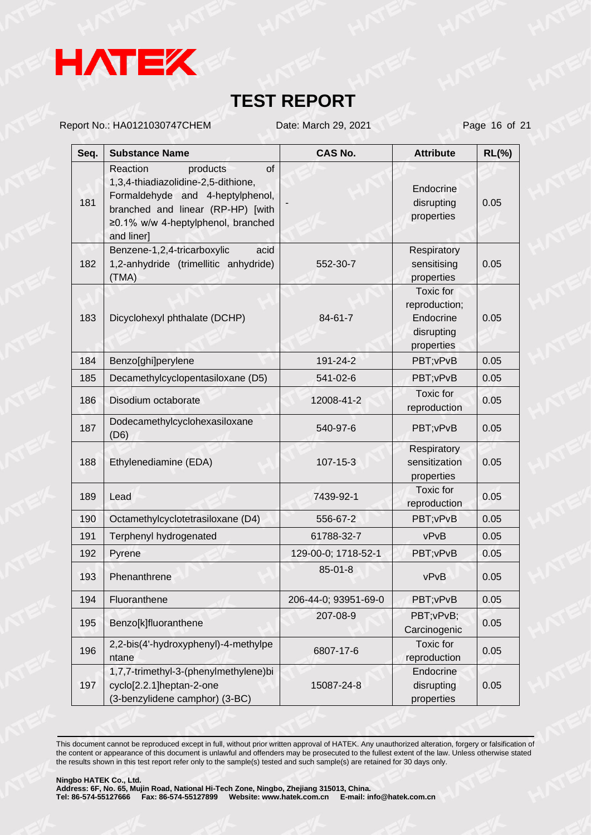

Report No.: HA0121030747CHEM Date: March 29, 2021 Page 16 of 21

| Seq. | <b>Substance Name</b>                                                                                                                                                                          | <b>CAS No.</b>       | <b>Attribute</b>                                                    | $RL(\%)$ |
|------|------------------------------------------------------------------------------------------------------------------------------------------------------------------------------------------------|----------------------|---------------------------------------------------------------------|----------|
| 181  | of<br>Reaction<br>products<br>1,3,4-thiadiazolidine-2,5-dithione,<br>Formaldehyde and 4-heptylphenol,<br>branched and linear (RP-HP) [with<br>≥0.1% w/w 4-heptylphenol, branched<br>and liner] |                      | Endocrine<br>disrupting<br>properties                               | 0.05     |
| 182  | Benzene-1,2,4-tricarboxylic<br>acid<br>1,2-anhydride (trimellitic anhydride)<br>(TMA)                                                                                                          | 552-30-7             | Respiratory<br>sensitising<br>properties                            | 0.05     |
| 183  | Dicyclohexyl phthalate (DCHP)                                                                                                                                                                  | 84-61-7              | Toxic for<br>reproduction;<br>Endocrine<br>disrupting<br>properties | 0.05     |
| 184  | Benzo[ghi]perylene                                                                                                                                                                             | 191-24-2             | PBT; vPvB                                                           | 0.05     |
| 185  | Decamethylcyclopentasiloxane (D5)                                                                                                                                                              | 541-02-6             | PBT; vPvB                                                           | 0.05     |
| 186  | Disodium octaborate                                                                                                                                                                            | 12008-41-2           | <b>Toxic</b> for<br>reproduction                                    | 0.05     |
| 187  | Dodecamethylcyclohexasiloxane<br>(D6)                                                                                                                                                          | 540-97-6             | PBT; vPvB                                                           | 0.05     |
| 188  | Ethylenediamine (EDA)                                                                                                                                                                          | 107-15-3             | <b>Respiratory</b><br>sensitization<br>properties                   | 0.05     |
| 189  | Lead                                                                                                                                                                                           | 7439-92-1            | Toxic for<br>reproduction                                           | 0.05     |
| 190  | Octamethylcyclotetrasiloxane (D4)                                                                                                                                                              | 556-67-2             | PBT; vPvB                                                           | 0.05     |
| 191  | Terphenyl hydrogenated                                                                                                                                                                         | 61788-32-7           | vPvB                                                                | 0.05     |
| 192  | Pyrene                                                                                                                                                                                         | 129-00-0; 1718-52-1  | PBT; vPvB                                                           | 0.05     |
| 193  | Phenanthrene                                                                                                                                                                                   | $85 - 01 - 8$        | vPvB                                                                | 0.05     |
| 194  | Fluoranthene                                                                                                                                                                                   | 206-44-0; 93951-69-0 | PBT; vPvB                                                           | 0.05     |
| 195  | Benzo[k]fluoranthene                                                                                                                                                                           | 207-08-9             | PBT; vPvB;<br>Carcinogenic                                          | 0.05     |
| 196  | 2,2-bis(4'-hydroxyphenyl)-4-methylpe<br>ntane                                                                                                                                                  | 6807-17-6            | <b>Toxic</b> for<br>reproduction                                    | 0.05     |
| 197  | 1,7,7-trimethyl-3-(phenylmethylene)bi<br>cyclo[2.2.1]heptan-2-one<br>(3-benzylidene camphor) (3-BC)                                                                                            | 15087-24-8           | Endocrine<br>disrupting<br>properties                               | 0.05     |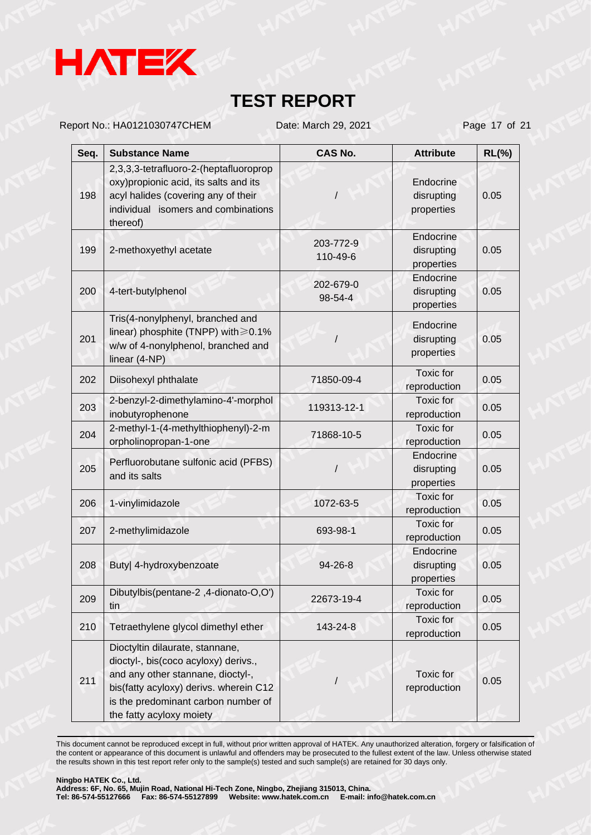

Report No.: HA0121030747CHEM Date: March 29, 2021 Page 17 of 21

| Seq. | <b>Substance Name</b>                                                                                                                                                                                                     | <b>CAS No.</b>        | <b>Attribute</b>                      | $RL(\%)$ |
|------|---------------------------------------------------------------------------------------------------------------------------------------------------------------------------------------------------------------------------|-----------------------|---------------------------------------|----------|
| 198  | 2,3,3,3-tetrafluoro-2-(heptafluoroprop<br>oxy) propionic acid, its salts and its<br>acyl halides (covering any of their<br>individual isomers and combinations<br>thereof)                                                |                       | Endocrine<br>disrupting<br>properties | 0.05     |
| 199  | 2-methoxyethyl acetate                                                                                                                                                                                                    | 203-772-9<br>110-49-6 | Endocrine<br>disrupting<br>properties | 0.05     |
| 200  | 4-tert-butylphenol                                                                                                                                                                                                        | 202-679-0<br>98-54-4  | Endocrine<br>disrupting<br>properties | 0.05     |
| 201  | Tris(4-nonylphenyl, branched and<br>linear) phosphite (TNPP) with $\geq 0.1\%$<br>w/w of 4-nonylphenol, branched and<br>linear (4-NP)                                                                                     |                       | Endocrine<br>disrupting<br>properties | 0.05     |
| 202  | Diisohexyl phthalate                                                                                                                                                                                                      | 71850-09-4            | <b>Toxic</b> for<br>reproduction      | 0.05     |
| 203  | 2-benzyl-2-dimethylamino-4'-morphol<br>inobutyrophenone                                                                                                                                                                   | 119313-12-1           | Toxic for<br>reproduction             | 0.05     |
| 204  | 2-methyl-1-(4-methylthiophenyl)-2-m<br>orpholinopropan-1-one                                                                                                                                                              | 71868-10-5            | <b>Toxic</b> for<br>reproduction      | 0.05     |
| 205  | Perfluorobutane sulfonic acid (PFBS)<br>and its salts                                                                                                                                                                     |                       | Endocrine<br>disrupting<br>properties | 0.05     |
| 206  | 1-vinylimidazole                                                                                                                                                                                                          | 1072-63-5             | <b>Toxic</b> for<br>reproduction      | 0.05     |
| 207  | 2-methylimidazole                                                                                                                                                                                                         | 693-98-1              | <b>Toxic</b> for<br>reproduction      | 0.05     |
| 208  | Buty  4-hydroxybenzoate                                                                                                                                                                                                   | 94-26-8               | Endocrine<br>disrupting<br>properties | 0.05     |
| 209  | Dibutylbis(pentane-2,4-dionato-O,O')<br>tin                                                                                                                                                                               | 22673-19-4            | Toxic for<br>reproduction             | 0.05     |
| 210  | Tetraethylene glycol dimethyl ether                                                                                                                                                                                       | 143-24-8              | Toxic for<br>reproduction             | 0.05     |
| 211  | Dioctyltin dilaurate, stannane,<br>dioctyl-, bis(coco acyloxy) derivs.,<br>and any other stannane, dioctyl-,<br>bis(fatty acyloxy) derivs. wherein C12<br>is the predominant carbon number of<br>the fatty acyloxy moiety |                       | Toxic for<br>reproduction             | 0.05     |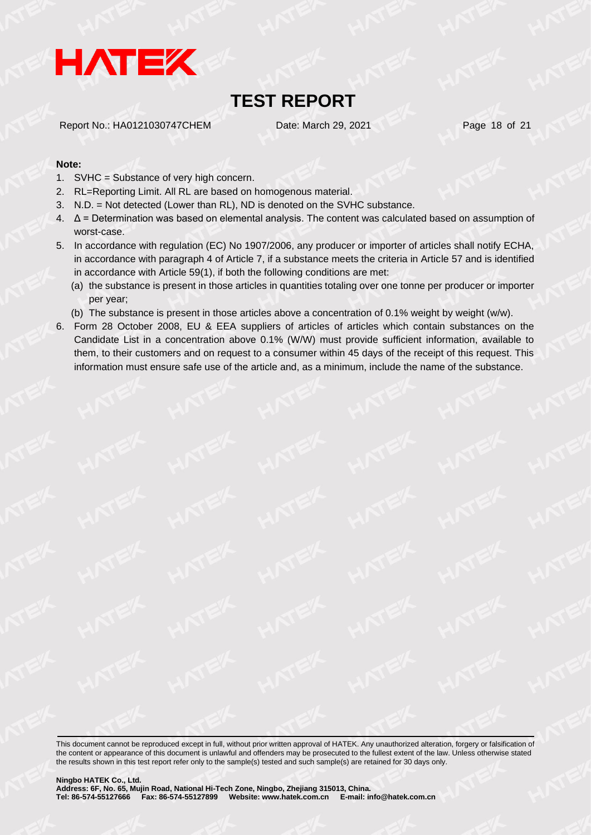

Report No.: HA0121030747CHEM Date: March 29, 2021 Page 18 of 21

#### **Note:**

- 1. SVHC = Substance of very high concern.
- 2. RL=Reporting Limit. All RL are based on homogenous material.
- 3. N.D. = Not detected (Lower than RL), ND is denoted on the SVHC substance.
- 4. Δ = Determination was based on elemental analysis. The content was calculated based on assumption of worst-case.
- 5. In accordance with regulation (EC) No 1907/2006, any producer or importer of articles shall notify ECHA, in accordance with paragraph 4 of Article 7, if a substance meets the criteria in Article 57 and is identified in accordance with Article 59(1), if both the following conditions are met:
	- (a) the substance is present in those articles in quantities totaling over one tonne per producer or importer per year;
	- (b) The substance is present in those articles above a concentration of 0.1% weight by weight (w/w).
- 6. Form 28 October 2008, EU & EEA suppliers of articles of articles which contain substances on the Candidate List in a concentration above 0.1% (W/W) must provide sufficient information, available to them, to their customers and on request to a consumer within 45 days of the receipt of this request. This information must ensure safe use of the article and, as a minimum, include the name of the substance.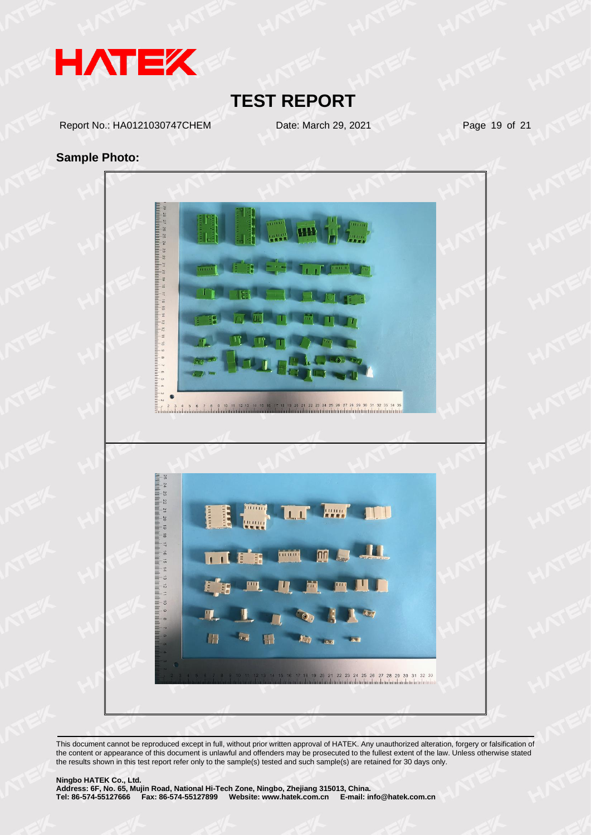

Report No.: HA0121030747CHEM Date: March 29, 2021 Page 19 of 21

#### **Sample Photo:**

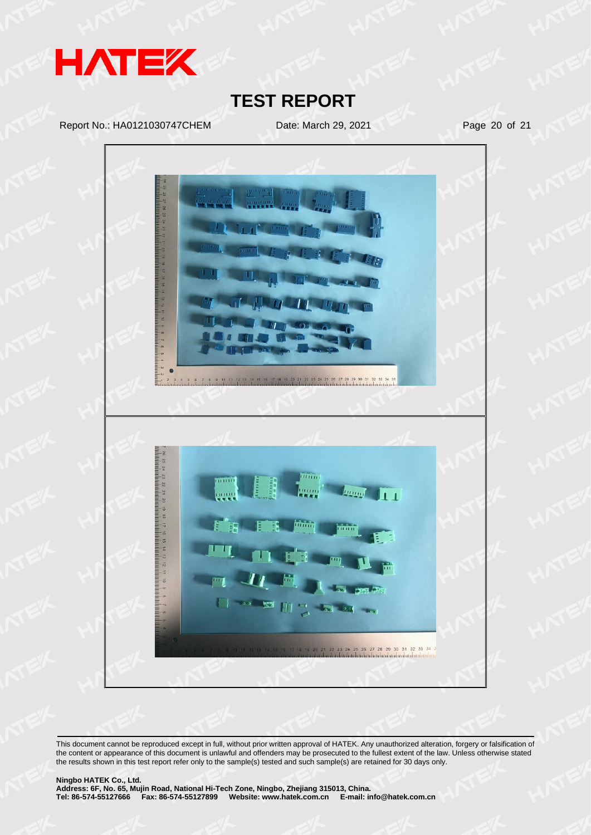

Report No.: HA0121030747CHEM Date: March 29, 2021 Page 20 of 21